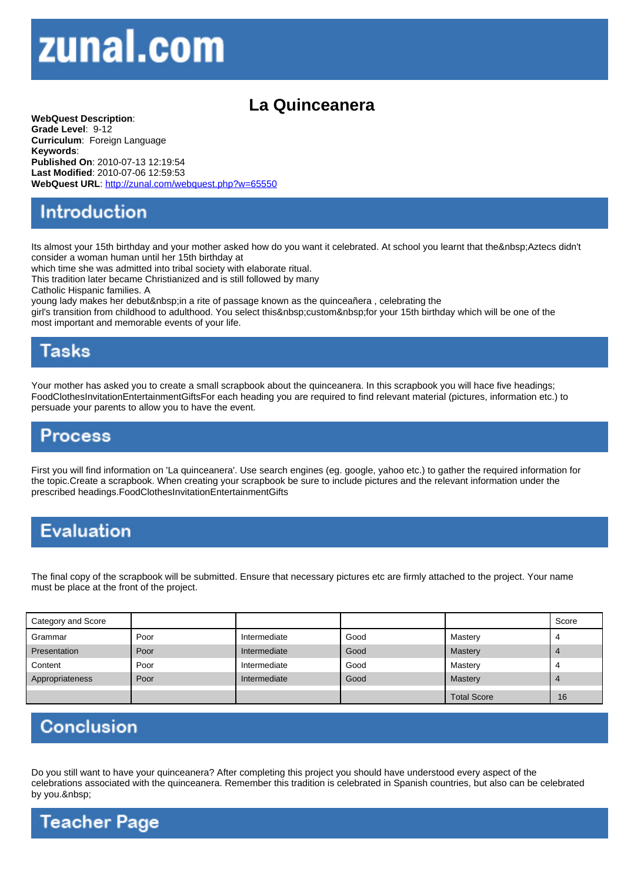## La Quinceanera

WebQuest Description: Grade Level: 9-12 Curriculum: Foreign Language Keywords: Published On: 2010-07-13 12:19:54 Last Modified: 2010-07-06 12:59:53 WebQuest URL: http://zunal.com/webquest.php?w=65550

Its almost your 15th birthday and your mother asked how do you want it celebrated. At school you learnt that the Aztecs didn't consider a woman human until her 15th birthday at

which time she was admitted into tribal society with elaborate ritual.

This tradition later became Christianized and is still followed by many

Catholic Hispanic families. A

young lady makes her debut in a rite of passage known as the quinceañera, celebrating the

girl's transition from childhood to adulthood. You select this custom for your 15th birthday which will be one of the most important and memorable events of your life.

Your mother has asked you to create a small scrapbook about the quinceanera. In this scrapbook you will hace five headings; FoodClothesInvitationEntertainmentGiftsFor each heading you are required to find relevant material (pictures, information etc.) to persuade your parents to allow you to have the event.

First you will find information on 'La quinceanera'. Use search engines (eg. google, yahoo etc.) to gather the required information for the topic.Create a scrapbook. When creating your scrapbook be sure to include pictures and the relevant information under the prescribed headings.FoodClothesInvitationEntertainmentGifts

The final copy of the scrapbook will be submitted. Ensure that necessary pictures etc are firmly attached to the project. Your name must be place at the front of the project.

| Category and Score |      |              |      |                    | Score |
|--------------------|------|--------------|------|--------------------|-------|
| Grammar            | Poor | Intermediate | Good | Mastery            |       |
| Presentation       | Poor | Intermediate | Good | Mastery            |       |
| Content            | Poor | Intermediate | Good | Mastery            |       |
| Appropriateness    | Poor | Intermediate | Good | Mastery            |       |
|                    |      |              |      | <b>Total Score</b> | 16    |

Do you still want to have your quinceanera? After completing this project you should have understood every aspect of the celebrations associated with the quinceanera. Remember this tradition is celebrated in Spanish countries, but also can be celebrated by you.